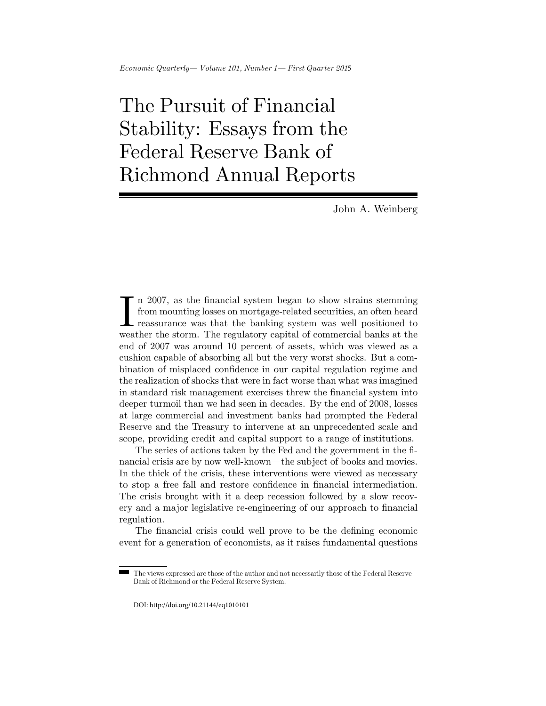## $Economic$  Quarterly - Volume 101, Number 1 - First Quarter 2015

## The Pursuit of Financial Stability: Essays from the Federal Reserve Bank of Richmond Annual Reports

John A. Weinberg

In 2007, as the financial system began to show strains stemming from mounting losses on mortgage-related securities, an often heard reassurance was that the banking system was well positioned to weather the storm. The regu n 2007, as the financial system began to show strains stemming from mounting losses on mortgage-related securities, an often heard reassurance was that the banking system was well positioned to end of 2007 was around 10 percent of assets, which was viewed as a cushion capable of absorbing all but the very worst shocks. But a combination of misplaced confidence in our capital regulation regime and the realization of shocks that were in fact worse than what was imagined in standard risk management exercises threw the financial system into deeper turmoil than we had seen in decades. By the end of 2008, losses at large commercial and investment banks had prompted the Federal Reserve and the Treasury to intervene at an unprecedented scale and scope, providing credit and capital support to a range of institutions.

The series of actions taken by the Fed and the government in the Önancial crisis are by now well-known—the subject of books and movies. In the thick of the crisis, these interventions were viewed as necessary to stop a free fall and restore confidence in financial intermediation. The crisis brought with it a deep recession followed by a slow recovery and a major legislative re-engineering of our approach to financial regulation.

The financial crisis could well prove to be the defining economic event for a generation of economists, as it raises fundamental questions

The views expressed are those of the author and not necessarily those of the Federal Reserve Bank of Richmond or the Federal Reserve System.

DOI: http://doi.org/10.21144/eq1010101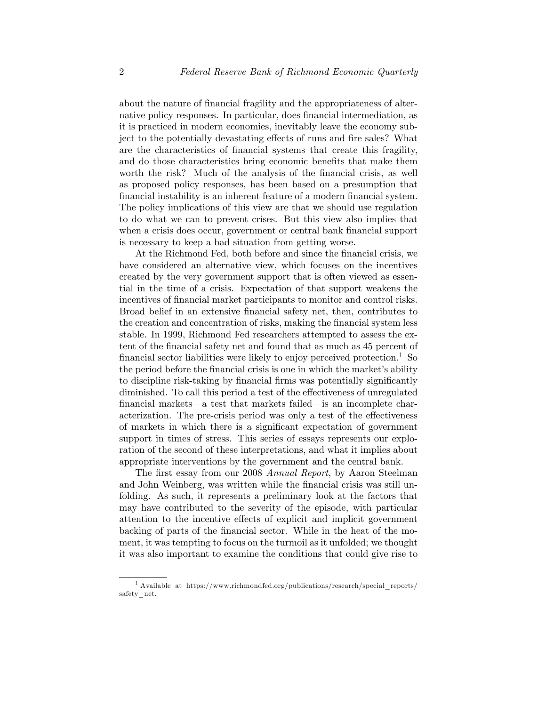about the nature of financial fragility and the appropriateness of alternative policy responses. In particular, does financial intermediation, as it is practiced in modern economies, inevitably leave the economy subject to the potentially devastating effects of runs and fire sales? What are the characteristics of Önancial systems that create this fragility, and do those characteristics bring economic benefits that make them worth the risk? Much of the analysis of the financial crisis, as well as proposed policy responses, has been based on a presumption that financial instability is an inherent feature of a modern financial system. The policy implications of this view are that we should use regulation to do what we can to prevent crises. But this view also implies that when a crisis does occur, government or central bank financial support is necessary to keep a bad situation from getting worse.

At the Richmond Fed, both before and since the financial crisis, we have considered an alternative view, which focuses on the incentives created by the very government support that is often viewed as essential in the time of a crisis. Expectation of that support weakens the incentives of financial market participants to monitor and control risks. Broad belief in an extensive financial safety net, then, contributes to the creation and concentration of risks, making the financial system less stable. In 1999, Richmond Fed researchers attempted to assess the extent of the financial safety net and found that as much as 45 percent of financial sector liabilities were likely to enjoy perceived protection.<sup>1</sup> So the period before the financial crisis is one in which the market's ability to discipline risk-taking by financial firms was potentially significantly diminished. To call this period a test of the effectiveness of unregulated financial markets—a test that markets failed—is an incomplete characterization. The pre-crisis period was only a test of the effectiveness of markets in which there is a significant expectation of government support in times of stress. This series of essays represents our exploration of the second of these interpretations, and what it implies about appropriate interventions by the government and the central bank.

The first essay from our 2008 Annual Report, by Aaron Steelman and John Weinberg, was written while the financial crisis was still unfolding. As such, it represents a preliminary look at the factors that may have contributed to the severity of the episode, with particular attention to the incentive effects of explicit and implicit government backing of parts of the financial sector. While in the heat of the moment, it was tempting to focus on the turmoil as it unfolded; we thought it was also important to examine the conditions that could give rise to

<sup>1</sup> Available at https://www.richmondfed.org/publications/research/special\_reports/ safety\_net.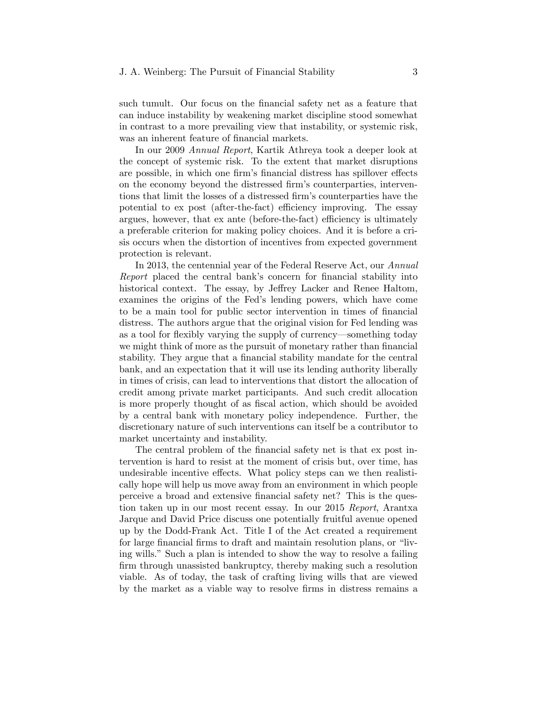## J. A. Weinberg: The Pursuit of Financial Stability 3

such tumult. Our focus on the financial safety net as a feature that can induce instability by weakening market discipline stood somewhat in contrast to a more prevailing view that instability, or systemic risk, was an inherent feature of financial markets.

In our 2009 Annual Report, Kartik Athreya took a deeper look at the concept of systemic risk. To the extent that market disruptions are possible, in which one firm's financial distress has spillover effects on the economy beyond the distressed firm's counterparties, interventions that limit the losses of a distressed firm's counterparties have the potential to ex post (after-the-fact) efficiency improving. The essay argues, however, that ex ante (before-the-fact) efficiency is ultimately a preferable criterion for making policy choices. And it is before a crisis occurs when the distortion of incentives from expected government protection is relevant.

In 2013, the centennial year of the Federal Reserve Act, our Annual Report placed the central bank's concern for financial stability into historical context. The essay, by Jeffrey Lacker and Renee Haltom, examines the origins of the Fed's lending powers, which have come to be a main tool for public sector intervention in times of financial distress. The authors argue that the original vision for Fed lending was as a tool for flexibly varying the supply of currency—something today we might think of more as the pursuit of monetary rather than financial stability. They argue that a financial stability mandate for the central bank, and an expectation that it will use its lending authority liberally in times of crisis, can lead to interventions that distort the allocation of credit among private market participants. And such credit allocation is more properly thought of as fiscal action, which should be avoided by a central bank with monetary policy independence. Further, the discretionary nature of such interventions can itself be a contributor to market uncertainty and instability.

The central problem of the financial safety net is that ex post intervention is hard to resist at the moment of crisis but, over time, has undesirable incentive effects. What policy steps can we then realistically hope will help us move away from an environment in which people perceive a broad and extensive Önancial safety net? This is the question taken up in our most recent essay. In our 2015 Report, Arantxa Jarque and David Price discuss one potentially fruitful avenue opened up by the Dodd-Frank Act. Title I of the Act created a requirement for large financial firms to draft and maintain resolution plans, or "living wills." Such a plan is intended to show the way to resolve a failing firm through unassisted bankruptcy, thereby making such a resolution viable. As of today, the task of crafting living wills that are viewed by the market as a viable way to resolve Örms in distress remains a